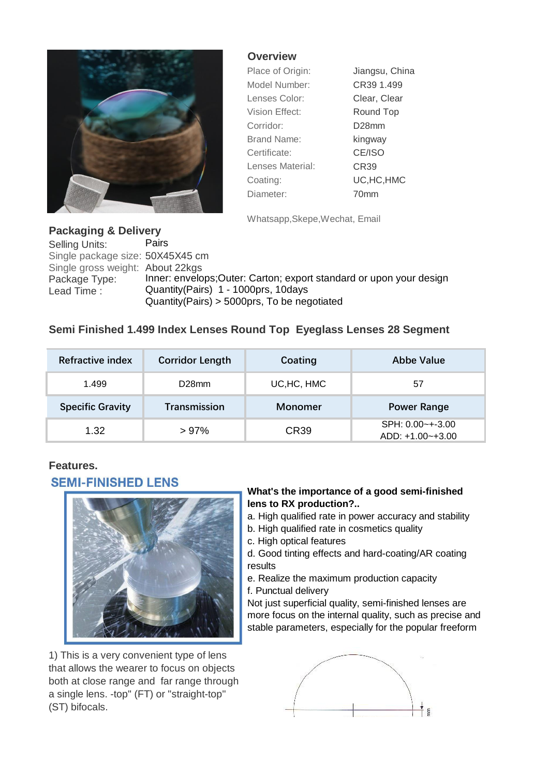

#### **Overview**

| Place of Origin:   | Jiangsu, China   |  |  |
|--------------------|------------------|--|--|
| Model Number:      | CR39 1.499       |  |  |
| Lenses Color:      | Clear, Clear     |  |  |
| Vision Effect:     | Round Top        |  |  |
| Corridor:          | D28mm            |  |  |
| <b>Brand Name:</b> | kingway          |  |  |
| Certificate:       | CE/ISO           |  |  |
| Lenses Material:   | CR <sub>39</sub> |  |  |
| Coating:           | UC, HC, HMC      |  |  |
| Diameter:          | 70mm             |  |  |

Whatsapp,Skepe,Wechat, Email

## **Packaging & Delivery**

Selling Units: Pairs Single package size: 50X45X45 cm Single gross weight: About 22kgs<br>Package Type: Inner: envelo Package Type: Inner: envelops;Outer: Carton; export standard or upon your design<br>Lead Time : Quantity(Pairs) 1 - 1000prs, 10days Quantity(Pairs) 1 - 1000prs, 10days Quantity(Pairs) > 5000prs, To be negotiated

# **Semi Finished 1.499 Index Lenses Round Top Eyeglass Lenses 28 Segment**

| Refractive index        | <b>Corridor Length</b> | Coating          | Abbe Value                              |
|-------------------------|------------------------|------------------|-----------------------------------------|
| 1.499                   | D <sub>28</sub> mm     | UC, HC, HMC      | 57                                      |
| <b>Specific Gravity</b> | Transmission           | <b>Monomer</b>   | <b>Power Range</b>                      |
| 1.32                    | >97%                   | CR <sub>39</sub> | $SPH: 0.00 - +3.00$<br>ADD: +1.00~+3.00 |

## **Features.**

## **SFMI-FINISHED I FNS**



1) This is a very convenient type of lens that allows the wearer to focus on objects both at close range and far range through a single lens. -top" (FT) or "straight-top" (ST) bifocals.

#### **What's the importance of a good semi-finished lens to RX production?..**

- a. High qualified rate in power accuracy and stability
- b. High qualified rate in cosmetics quality
- c. High optical features

d. Good tinting effects and hard-coating/AR coating results

- e. Realize the maximum production capacity
- f. Punctual delivery

Not just superficial quality, semi-finished lenses are more focus on the internal quality, such as precise and stable parameters, especially for the popular freeform